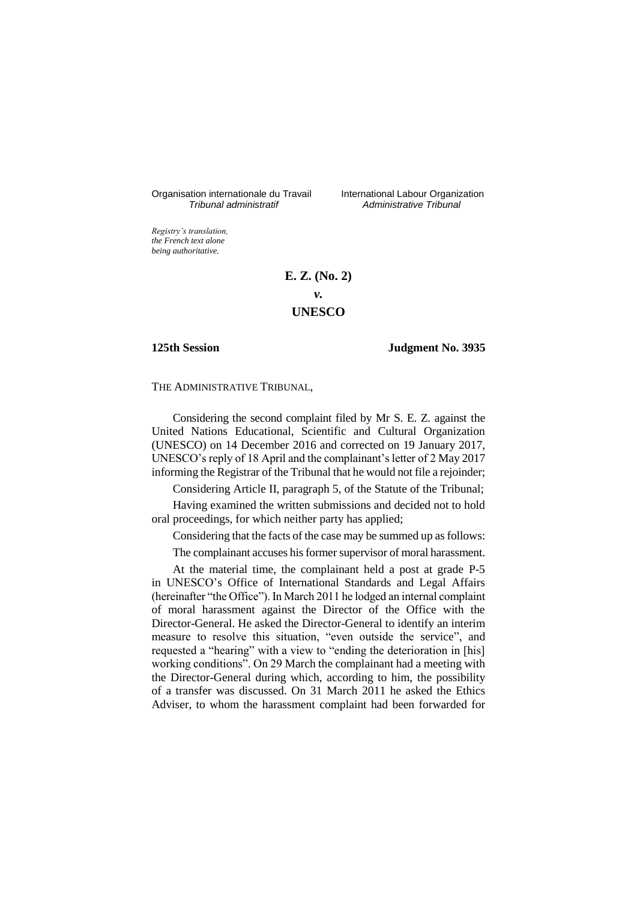Organisation internationale du Travail International Labour Organization<br>*Tribunal administratif Administrative Tribunal* 

*Tribunal administratif Administrative Tribunal*

*Registry's translation, the French text alone being authoritative.*

# **E. Z. (No. 2)** *v.* **UNESCO**

### **125th Session Judgment No. 3935**

THE ADMINISTRATIVE TRIBUNAL,

Considering the second complaint filed by Mr S. E. Z. against the United Nations Educational, Scientific and Cultural Organization (UNESCO) on 14 December 2016 and corrected on 19 January 2017, UNESCO's reply of 18 April and the complainant's letter of 2 May 2017 informing the Registrar of the Tribunal that he would not file a rejoinder;

Considering Article II, paragraph 5, of the Statute of the Tribunal;

Having examined the written submissions and decided not to hold oral proceedings, for which neither party has applied;

Considering that the facts of the case may be summed up as follows:

The complainant accuses his former supervisor of moral harassment.

At the material time, the complainant held a post at grade P-5 in UNESCO's Office of International Standards and Legal Affairs (hereinafter "the Office"). In March 2011 he lodged an internal complaint of moral harassment against the Director of the Office with the Director-General. He asked the Director-General to identify an interim measure to resolve this situation, "even outside the service", and requested a "hearing" with a view to "ending the deterioration in [his] working conditions". On 29 March the complainant had a meeting with the Director-General during which, according to him, the possibility of a transfer was discussed. On 31 March 2011 he asked the Ethics Adviser, to whom the harassment complaint had been forwarded for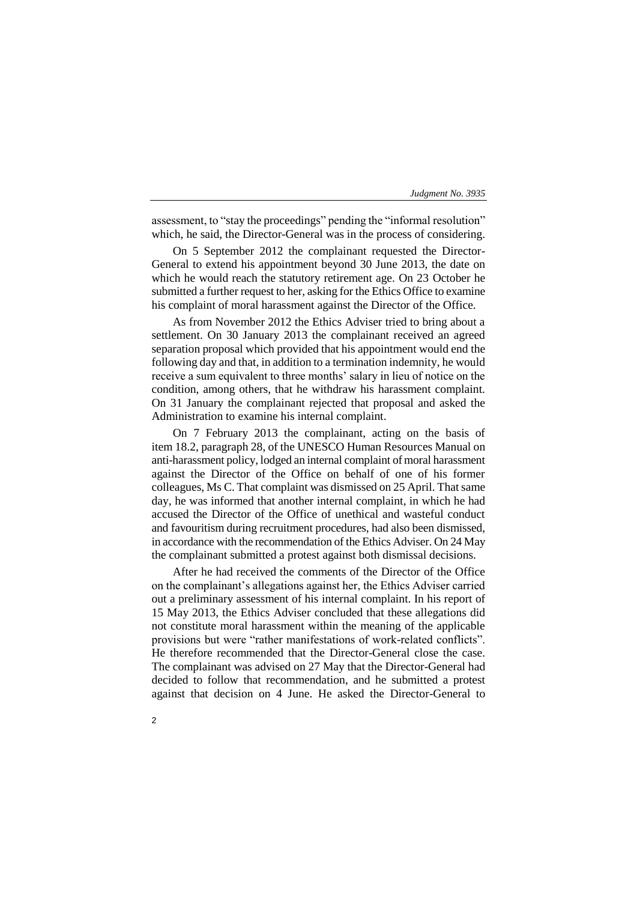assessment, to "stay the proceedings" pending the "informal resolution" which, he said, the Director-General was in the process of considering.

On 5 September 2012 the complainant requested the Director-General to extend his appointment beyond 30 June 2013, the date on which he would reach the statutory retirement age. On 23 October he submitted a further request to her, asking for the Ethics Office to examine his complaint of moral harassment against the Director of the Office.

As from November 2012 the Ethics Adviser tried to bring about a settlement. On 30 January 2013 the complainant received an agreed separation proposal which provided that his appointment would end the following day and that, in addition to a termination indemnity, he would receive a sum equivalent to three months' salary in lieu of notice on the condition, among others, that he withdraw his harassment complaint. On 31 January the complainant rejected that proposal and asked the Administration to examine his internal complaint.

On 7 February 2013 the complainant, acting on the basis of item 18.2, paragraph 28, of the UNESCO Human Resources Manual on anti-harassment policy, lodged an internal complaint of moral harassment against the Director of the Office on behalf of one of his former colleagues, Ms C. That complaint was dismissed on 25 April. That same day, he was informed that another internal complaint, in which he had accused the Director of the Office of unethical and wasteful conduct and favouritism during recruitment procedures, had also been dismissed, in accordance with the recommendation of the Ethics Adviser. On 24 May the complainant submitted a protest against both dismissal decisions.

After he had received the comments of the Director of the Office on the complainant's allegations against her, the Ethics Adviser carried out a preliminary assessment of his internal complaint. In his report of 15 May 2013, the Ethics Adviser concluded that these allegations did not constitute moral harassment within the meaning of the applicable provisions but were "rather manifestations of work-related conflicts". He therefore recommended that the Director-General close the case. The complainant was advised on 27 May that the Director-General had decided to follow that recommendation, and he submitted a protest against that decision on 4 June. He asked the Director-General to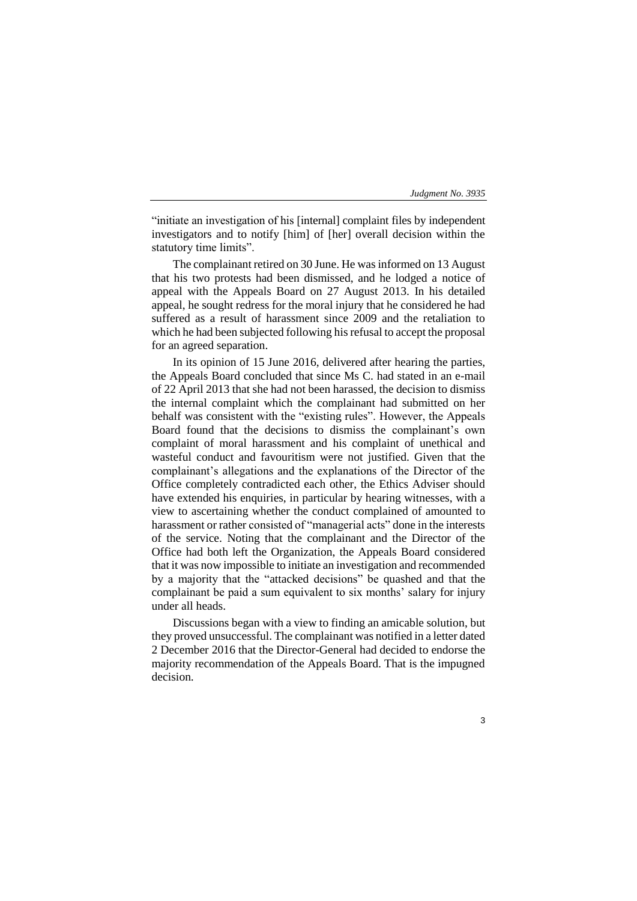"initiate an investigation of his [internal] complaint files by independent investigators and to notify [him] of [her] overall decision within the statutory time limits".

The complainant retired on 30 June. He was informed on 13 August that his two protests had been dismissed, and he lodged a notice of appeal with the Appeals Board on 27 August 2013. In his detailed appeal, he sought redress for the moral injury that he considered he had suffered as a result of harassment since 2009 and the retaliation to which he had been subjected following his refusal to accept the proposal for an agreed separation.

In its opinion of 15 June 2016, delivered after hearing the parties, the Appeals Board concluded that since Ms C. had stated in an e-mail of 22 April 2013 that she had not been harassed, the decision to dismiss the internal complaint which the complainant had submitted on her behalf was consistent with the "existing rules". However, the Appeals Board found that the decisions to dismiss the complainant's own complaint of moral harassment and his complaint of unethical and wasteful conduct and favouritism were not justified. Given that the complainant's allegations and the explanations of the Director of the Office completely contradicted each other, the Ethics Adviser should have extended his enquiries, in particular by hearing witnesses, with a view to ascertaining whether the conduct complained of amounted to harassment or rather consisted of "managerial acts" done in the interests of the service. Noting that the complainant and the Director of the Office had both left the Organization, the Appeals Board considered that it was now impossible to initiate an investigation and recommended by a majority that the "attacked decisions" be quashed and that the complainant be paid a sum equivalent to six months' salary for injury under all heads.

Discussions began with a view to finding an amicable solution, but they proved unsuccessful. The complainant was notified in a letter dated 2 December 2016 that the Director-General had decided to endorse the majority recommendation of the Appeals Board. That is the impugned decision.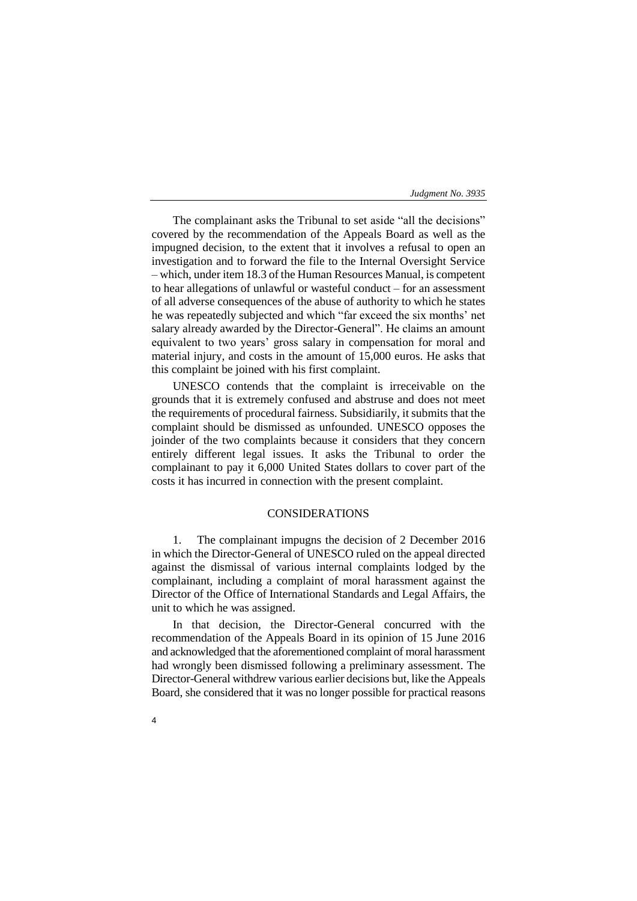The complainant asks the Tribunal to set aside "all the decisions" covered by the recommendation of the Appeals Board as well as the impugned decision, to the extent that it involves a refusal to open an investigation and to forward the file to the Internal Oversight Service – which, under item 18.3 of the Human Resources Manual, is competent to hear allegations of unlawful or wasteful conduct – for an assessment of all adverse consequences of the abuse of authority to which he states he was repeatedly subjected and which "far exceed the six months' net salary already awarded by the Director-General". He claims an amount equivalent to two years' gross salary in compensation for moral and material injury, and costs in the amount of 15,000 euros. He asks that this complaint be joined with his first complaint.

UNESCO contends that the complaint is irreceivable on the grounds that it is extremely confused and abstruse and does not meet the requirements of procedural fairness. Subsidiarily, it submits that the complaint should be dismissed as unfounded. UNESCO opposes the joinder of the two complaints because it considers that they concern entirely different legal issues. It asks the Tribunal to order the complainant to pay it 6,000 United States dollars to cover part of the costs it has incurred in connection with the present complaint.

# CONSIDERATIONS

1. The complainant impugns the decision of 2 December 2016 in which the Director-General of UNESCO ruled on the appeal directed against the dismissal of various internal complaints lodged by the complainant, including a complaint of moral harassment against the Director of the Office of International Standards and Legal Affairs, the unit to which he was assigned.

In that decision, the Director-General concurred with the recommendation of the Appeals Board in its opinion of 15 June 2016 and acknowledged that the aforementioned complaint of moral harassment had wrongly been dismissed following a preliminary assessment. The Director-General withdrew various earlier decisions but, like the Appeals Board, she considered that it was no longer possible for practical reasons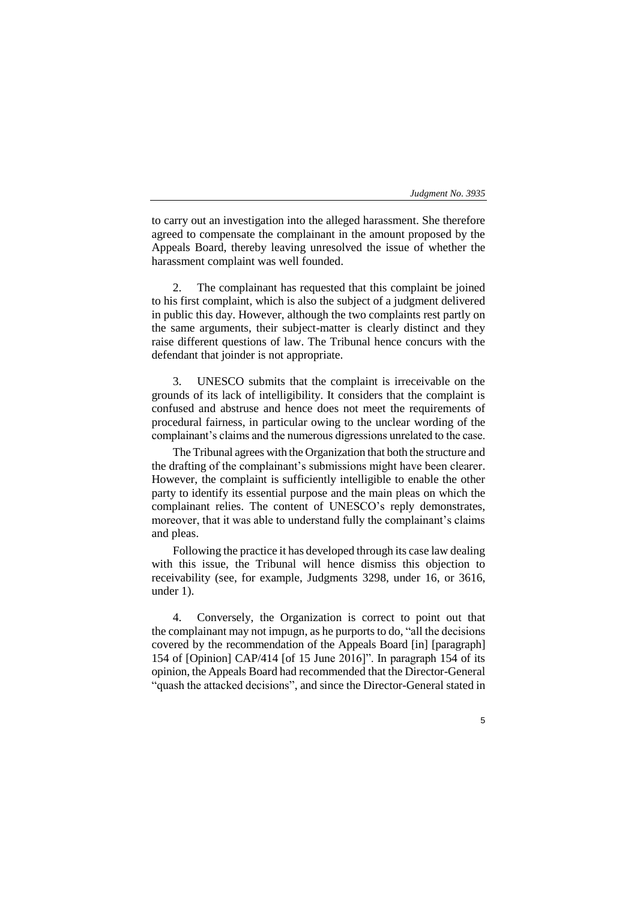5

to carry out an investigation into the alleged harassment. She therefore agreed to compensate the complainant in the amount proposed by the Appeals Board, thereby leaving unresolved the issue of whether the harassment complaint was well founded.

2. The complainant has requested that this complaint be joined to his first complaint, which is also the subject of a judgment delivered in public this day. However, although the two complaints rest partly on the same arguments, their subject-matter is clearly distinct and they raise different questions of law. The Tribunal hence concurs with the defendant that joinder is not appropriate.

UNESCO submits that the complaint is irreceivable on the grounds of its lack of intelligibility. It considers that the complaint is confused and abstruse and hence does not meet the requirements of procedural fairness, in particular owing to the unclear wording of the complainant's claims and the numerous digressions unrelated to the case.

The Tribunal agrees with the Organization that both the structure and the drafting of the complainant's submissions might have been clearer. However, the complaint is sufficiently intelligible to enable the other party to identify its essential purpose and the main pleas on which the complainant relies. The content of UNESCO's reply demonstrates, moreover, that it was able to understand fully the complainant's claims and pleas.

Following the practice it has developed through its case law dealing with this issue, the Tribunal will hence dismiss this objection to receivability (see, for example, Judgments 3298, under 16, or 3616, under 1).

4. Conversely, the Organization is correct to point out that the complainant may not impugn, as he purports to do, "all the decisions covered by the recommendation of the Appeals Board [in] [paragraph] 154 of [Opinion] CAP/414 [of 15 June 2016]". In paragraph 154 of its opinion, the Appeals Board had recommended that the Director-General "quash the attacked decisions", and since the Director-General stated in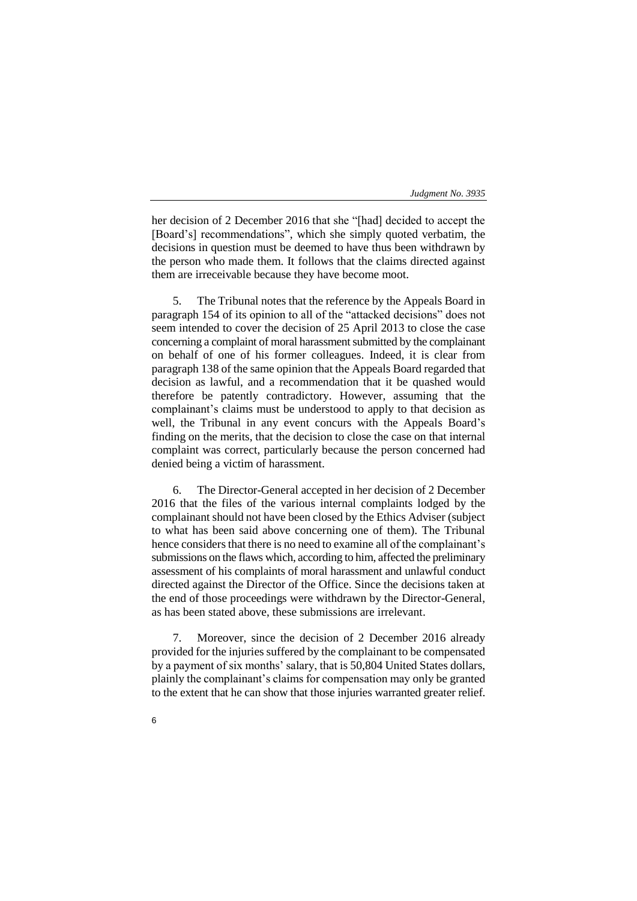her decision of 2 December 2016 that she "[had] decided to accept the [Board's] recommendations", which she simply quoted verbatim, the decisions in question must be deemed to have thus been withdrawn by the person who made them. It follows that the claims directed against them are irreceivable because they have become moot.

5. The Tribunal notes that the reference by the Appeals Board in paragraph 154 of its opinion to all of the "attacked decisions" does not seem intended to cover the decision of 25 April 2013 to close the case concerning a complaint of moral harassment submitted by the complainant on behalf of one of his former colleagues. Indeed, it is clear from paragraph 138 of the same opinion that the Appeals Board regarded that decision as lawful, and a recommendation that it be quashed would therefore be patently contradictory. However, assuming that the complainant's claims must be understood to apply to that decision as well, the Tribunal in any event concurs with the Appeals Board's finding on the merits, that the decision to close the case on that internal complaint was correct, particularly because the person concerned had denied being a victim of harassment.

6. The Director-General accepted in her decision of 2 December 2016 that the files of the various internal complaints lodged by the complainant should not have been closed by the Ethics Adviser (subject to what has been said above concerning one of them). The Tribunal hence considers that there is no need to examine all of the complainant's submissions on the flaws which, according to him, affected the preliminary assessment of his complaints of moral harassment and unlawful conduct directed against the Director of the Office. Since the decisions taken at the end of those proceedings were withdrawn by the Director-General, as has been stated above, these submissions are irrelevant.

7. Moreover, since the decision of 2 December 2016 already provided for the injuries suffered by the complainant to be compensated by a payment of six months' salary, that is 50,804 United States dollars, plainly the complainant's claims for compensation may only be granted to the extent that he can show that those injuries warranted greater relief.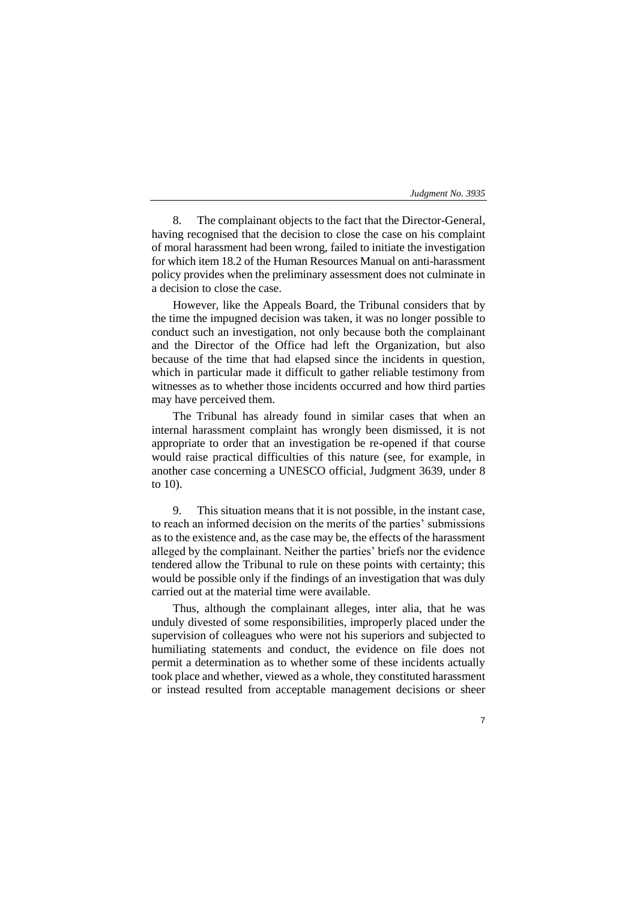7

8. The complainant objects to the fact that the Director-General, having recognised that the decision to close the case on his complaint of moral harassment had been wrong, failed to initiate the investigation for which item 18.2 of the Human Resources Manual on anti-harassment policy provides when the preliminary assessment does not culminate in a decision to close the case.

However, like the Appeals Board, the Tribunal considers that by the time the impugned decision was taken, it was no longer possible to conduct such an investigation, not only because both the complainant and the Director of the Office had left the Organization, but also because of the time that had elapsed since the incidents in question, which in particular made it difficult to gather reliable testimony from witnesses as to whether those incidents occurred and how third parties may have perceived them.

The Tribunal has already found in similar cases that when an internal harassment complaint has wrongly been dismissed, it is not appropriate to order that an investigation be re-opened if that course would raise practical difficulties of this nature (see, for example, in another case concerning a UNESCO official, Judgment 3639, under 8 to 10).

9. This situation means that it is not possible, in the instant case, to reach an informed decision on the merits of the parties' submissions as to the existence and, as the case may be, the effects of the harassment alleged by the complainant. Neither the parties' briefs nor the evidence tendered allow the Tribunal to rule on these points with certainty; this would be possible only if the findings of an investigation that was duly carried out at the material time were available.

Thus, although the complainant alleges, inter alia, that he was unduly divested of some responsibilities, improperly placed under the supervision of colleagues who were not his superiors and subjected to humiliating statements and conduct, the evidence on file does not permit a determination as to whether some of these incidents actually took place and whether, viewed as a whole, they constituted harassment or instead resulted from acceptable management decisions or sheer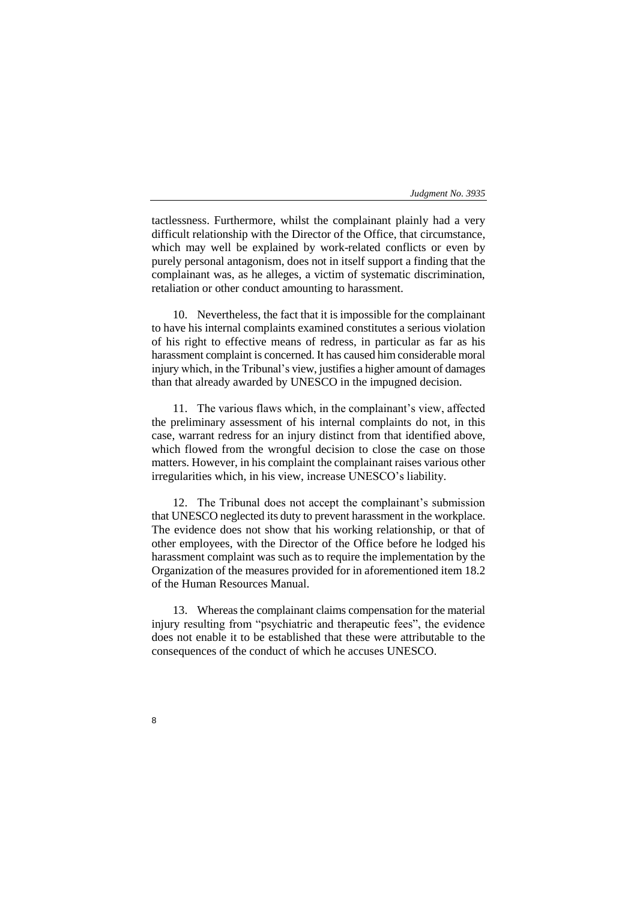tactlessness. Furthermore, whilst the complainant plainly had a very difficult relationship with the Director of the Office, that circumstance, which may well be explained by work-related conflicts or even by purely personal antagonism, does not in itself support a finding that the complainant was, as he alleges, a victim of systematic discrimination, retaliation or other conduct amounting to harassment.

10. Nevertheless, the fact that it is impossible for the complainant to have his internal complaints examined constitutes a serious violation of his right to effective means of redress, in particular as far as his harassment complaint is concerned. It has caused him considerable moral injury which, in the Tribunal's view, justifies a higher amount of damages than that already awarded by UNESCO in the impugned decision.

11. The various flaws which, in the complainant's view, affected the preliminary assessment of his internal complaints do not, in this case, warrant redress for an injury distinct from that identified above, which flowed from the wrongful decision to close the case on those matters. However, in his complaint the complainant raises various other irregularities which, in his view, increase UNESCO's liability.

12. The Tribunal does not accept the complainant's submission that UNESCO neglected its duty to prevent harassment in the workplace. The evidence does not show that his working relationship, or that of other employees, with the Director of the Office before he lodged his harassment complaint was such as to require the implementation by the Organization of the measures provided for in aforementioned item 18.2 of the Human Resources Manual.

13. Whereas the complainant claims compensation for the material injury resulting from "psychiatric and therapeutic fees", the evidence does not enable it to be established that these were attributable to the consequences of the conduct of which he accuses UNESCO.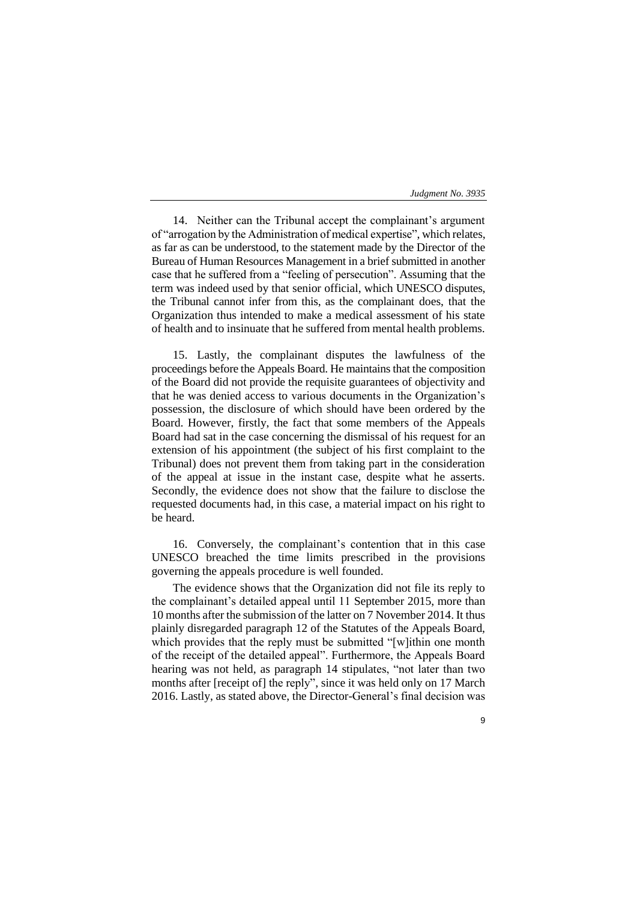9

14. Neither can the Tribunal accept the complainant's argument of "arrogation by the Administration of medical expertise", which relates, as far as can be understood, to the statement made by the Director of the Bureau of Human Resources Management in a brief submitted in another case that he suffered from a "feeling of persecution". Assuming that the term was indeed used by that senior official, which UNESCO disputes, the Tribunal cannot infer from this, as the complainant does, that the Organization thus intended to make a medical assessment of his state of health and to insinuate that he suffered from mental health problems.

15. Lastly, the complainant disputes the lawfulness of the proceedings before the Appeals Board. He maintains that the composition of the Board did not provide the requisite guarantees of objectivity and that he was denied access to various documents in the Organization's possession, the disclosure of which should have been ordered by the Board. However, firstly, the fact that some members of the Appeals Board had sat in the case concerning the dismissal of his request for an extension of his appointment (the subject of his first complaint to the Tribunal) does not prevent them from taking part in the consideration of the appeal at issue in the instant case, despite what he asserts. Secondly, the evidence does not show that the failure to disclose the requested documents had, in this case, a material impact on his right to be heard.

16. Conversely, the complainant's contention that in this case UNESCO breached the time limits prescribed in the provisions governing the appeals procedure is well founded.

The evidence shows that the Organization did not file its reply to the complainant's detailed appeal until 11 September 2015, more than 10 months after the submission of the latter on 7 November 2014. It thus plainly disregarded paragraph 12 of the Statutes of the Appeals Board, which provides that the reply must be submitted "[w]ithin one month of the receipt of the detailed appeal". Furthermore, the Appeals Board hearing was not held, as paragraph 14 stipulates, "not later than two months after [receipt of] the reply", since it was held only on 17 March 2016. Lastly, as stated above, the Director-General's final decision was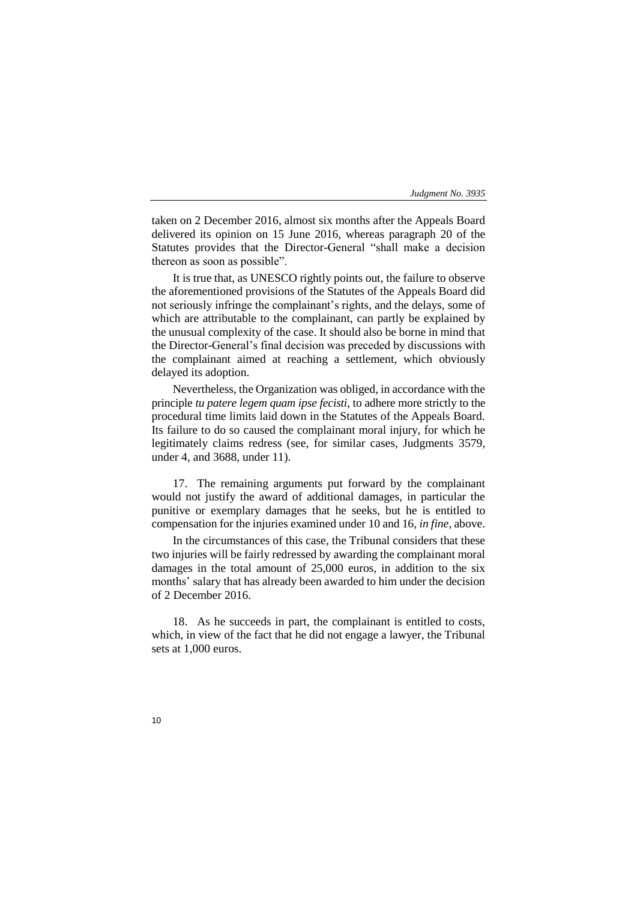taken on 2 December 2016, almost six months after the Appeals Board delivered its opinion on 15 June 2016, whereas paragraph 20 of the Statutes provides that the Director-General "shall make a decision thereon as soon as possible".

It is true that, as UNESCO rightly points out, the failure to observe the aforementioned provisions of the Statutes of the Appeals Board did not seriously infringe the complainant's rights, and the delays, some of which are attributable to the complainant, can partly be explained by the unusual complexity of the case. It should also be borne in mind that the Director-General's final decision was preceded by discussions with the complainant aimed at reaching a settlement, which obviously delayed its adoption.

Nevertheless, the Organization was obliged, in accordance with the principle *tu patere legem quam ipse fecisti*, to adhere more strictly to the procedural time limits laid down in the Statutes of the Appeals Board. Its failure to do so caused the complainant moral injury, for which he legitimately claims redress (see, for similar cases, Judgments 3579, under 4, and 3688, under 11).

17. The remaining arguments put forward by the complainant would not justify the award of additional damages, in particular the punitive or exemplary damages that he seeks, but he is entitled to compensation for the injuries examined under 10 and 16, *in fine*, above.

In the circumstances of this case, the Tribunal considers that these two injuries will be fairly redressed by awarding the complainant moral damages in the total amount of 25,000 euros, in addition to the six months' salary that has already been awarded to him under the decision of 2 December 2016.

18. As he succeeds in part, the complainant is entitled to costs, which, in view of the fact that he did not engage a lawyer, the Tribunal sets at 1,000 euros.